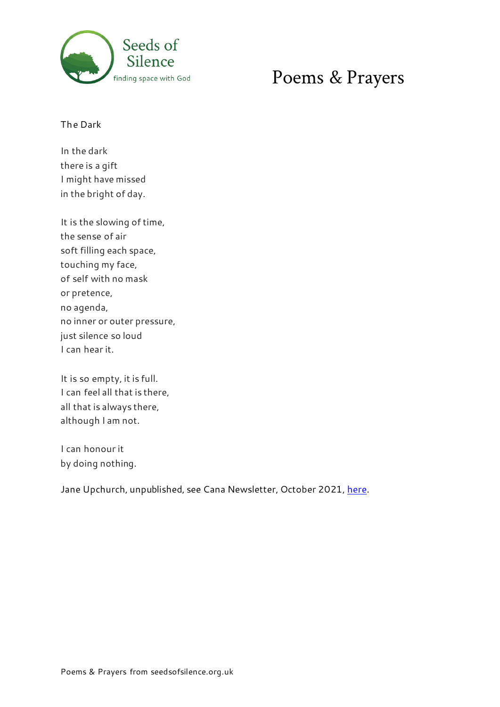

# finding space with God **Poems & Prayers**

The Dark

In the dark there is a gift I might have missed in the bright of day.

It is the slowing of time, the sense of air soft filling each space, touching my face, of self with no mask or pretence, no agenda, no inner or outer pressure, just silence so loud I can hear it.

It is so empty, it is full. I can feel all that is there, all that is always there, although I am not.

I can honour it by doing nothing.

Jane Upchurch, unpublished, see Cana Newsletter, October 2021[, here](https://mailchi.mp/dfefd51e8940/eletter-october-2021?e=f1bd74e372).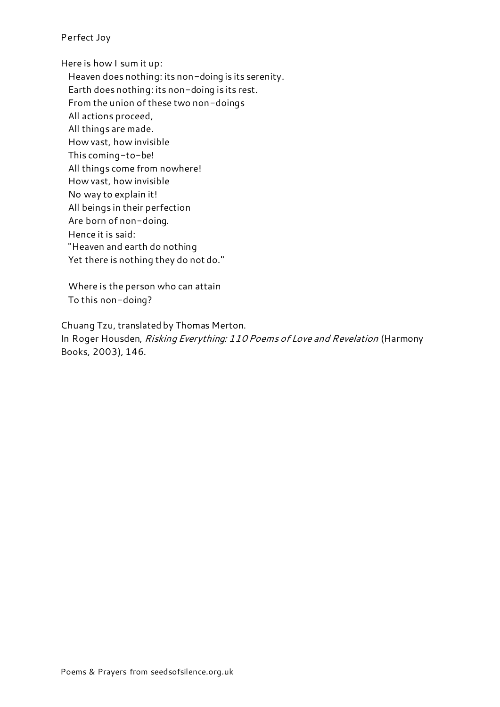# Perfect Joy

Here is how I sum it up:

Heaven does nothing: its non-doing is its serenity. Earth does nothing: its non-doing is its rest.

From the union of these two non-doings

All actions proceed,

All things are made.

How vast, how invisible

This coming-to-be!

All things come from nowhere!

How vast, how invisible

No way to explain it!

All beings in their perfection

Are born of non-doing.

Hence it is said:

"Heaven and earth do nothing

Yet there is nothing they do not do."

Where is the person who can attain To this non-doing?

Chuang Tzu, translated by Thomas Merton. In Roger Housden, Risking Everything: 110 Poems of Love and Revelation (Harmony Books, 2003), 146.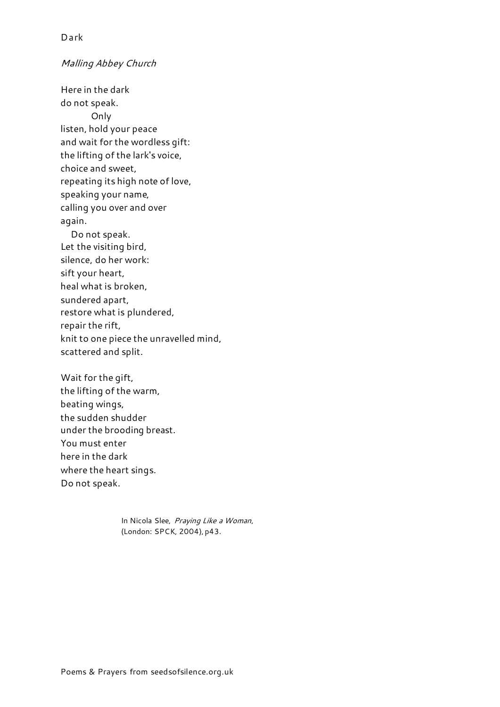## Malling Abbey Church

Here in the dark do not speak. Only listen, hold your peace and wait for the wordless gift: the lifting of the lark's voice, choice and sweet, repeating its high note of love, speaking your name, calling you over and over again. Do not speak. Let the visiting bird, silence, do her work: sift your heart, heal what is broken, sundered apart, restore what is plundered, repair the rift, knit to one piece the unravelled mind, scattered and split.

Wait for the gift, the lifting of the warm, beating wings, the sudden shudder under the brooding breast. You must enter here in the dark where the heart sings. Do not speak.

> In Nicola Slee, Praying Like a Woman, (London: SPCK, 2004), p43.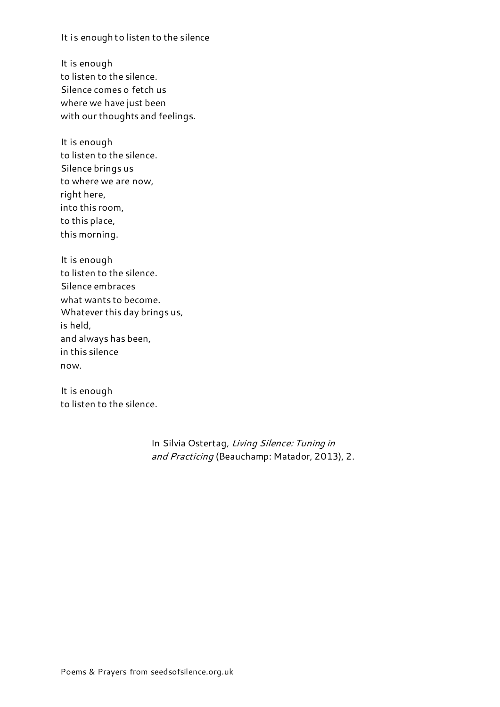It is enough to listen to the silence

It is enough to listen to the silence. Silence comes o fetch us where we have just been with our thoughts and feelings.

It is enough to listen to the silence. Silence brings us to where we are now, right here, into this room, to this place, this morning.

It is enough to listen to the silence. Silence embraces what wants to become. Whatever this day brings us, is held, and always has been, in this silence now.

It is enough to listen to the silence.

> In Silvia Ostertag, Living Silence: Tuning in and Practicing (Beauchamp: Matador, 2013), 2.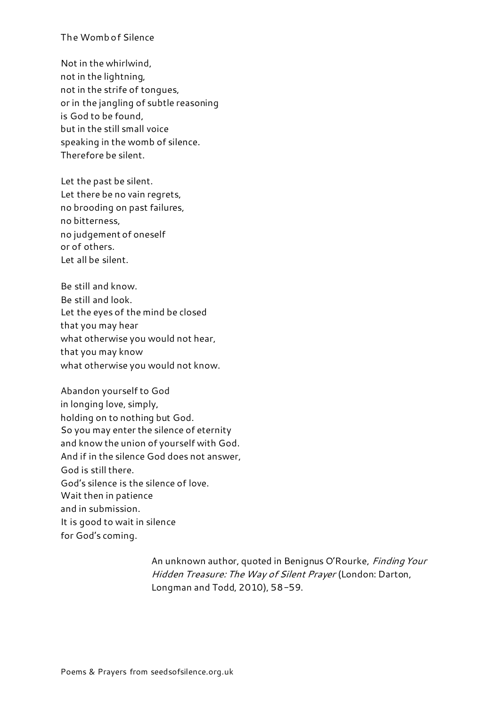## The Womb of Silence

Not in the whirlwind, not in the lightning, not in the strife of tongues, or in the jangling of subtle reasoning is God to be found, but in the still small voice speaking in the womb of silence. Therefore be silent.

Let the past be silent. Let there be no vain regrets, no brooding on past failures, no bitterness, no judgement of oneself or of others. Let all be silent.

Be still and know. Be still and look. Let the eyes of the mind be closed that you may hear what otherwise you would not hear, that you may know what otherwise you would not know.

Abandon yourself to God in longing love, simply, holding on to nothing but God. So you may enter the silence of eternity and know the union of yourself with God. And if in the silence God does not answer, God is still there. God's silence is the silence of love. Wait then in patience and in submission. It is good to wait in silence for God's coming.

> An unknown author, quoted in Benignus O'Rourke, Finding Your Hidden Treasure: The Way of Silent Prayer (London: Darton, Longman and Todd, 2010), 58-59.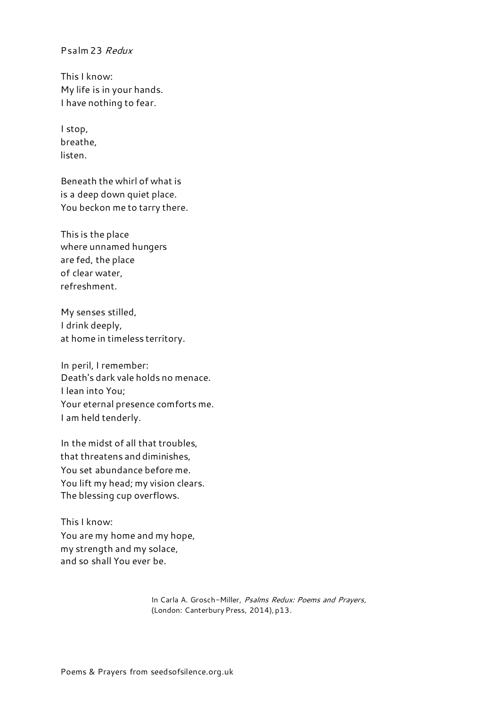## Psalm 23 Redux

This I know: My life is in your hands. I have nothing to fear.

I stop, breathe, listen.

Beneath the whirl of what is is a deep down quiet place. You beckon me to tarry there.

This is the place where unnamed hungers are fed, the place of clear water, refreshment.

My senses stilled, I drink deeply, at home in timeless territory.

In peril, I remember: Death's dark vale holds no menace. I lean into You; Your eternal presence comforts me. I am held tenderly.

In the midst of all that troubles, that threatens and diminishes, You set abundance before me. You lift my head; my vision clears. The blessing cup overflows.

This I know: You are my home and my hope, my strength and my solace, and so shall You ever be.

> In Carla A. Grosch-Miller, Psalms Redux: Poems and Prayers, (London: Canterbury Press, 2014), p13.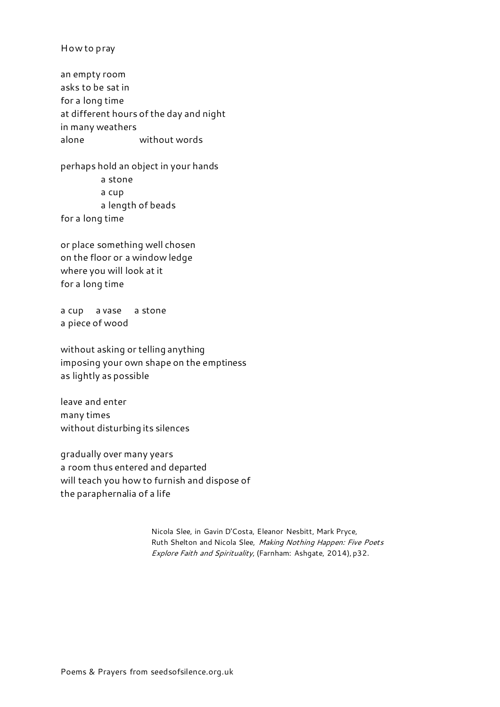How to pray

an empty room asks to be sat in for a long time at different hours of the day and night in many weathers alone without words

perhaps hold an object in your hands a stone a cup

a length of beads

for a long time

or place something well chosen on the floor or a window ledge where you will look at it for a long time

a cup a vase a stone a piece of wood

without asking or telling anything imposing your own shape on the emptiness as lightly as possible

leave and enter many times without disturbing its silences

gradually over many years a room thus entered and departed will teach you how to furnish and dispose of the paraphernalia of a life

> Nicola Slee, in Gavin D'Costa, Eleanor Nesbitt, Mark Pryce, Ruth Shelton and Nicola Slee, Making Nothing Happen: Five Poets Explore Faith and Spirituality, (Farnham: Ashgate, 2014), p32.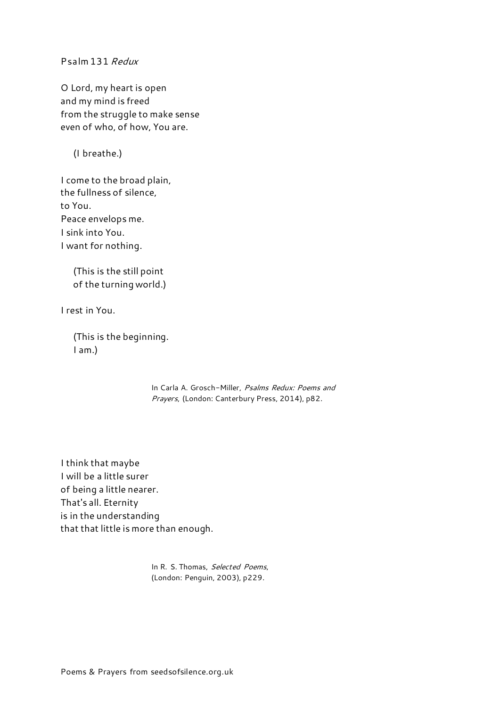Psalm 131 Redux

O Lord, my heart is open and my mind is freed from the struggle to make sense even of who, of how, You are.

(I breathe.)

I come to the broad plain, the fullness of silence, to You. Peace envelops me. I sink into You. I want for nothing.

> (This is the still point of the turning world.)

I rest in You.

 (This is the beginning. I am.)

> In Carla A. Grosch-Miller, Psalms Redux: Poems and Prayers, (London: Canterbury Press, 2014), p82.

I think that maybe I will be a little surer of being a little nearer. That's all. Eternity is in the understanding that that little is more than enough.

> In R. S. Thomas, Selected Poems, (London: Penguin, 2003), p229.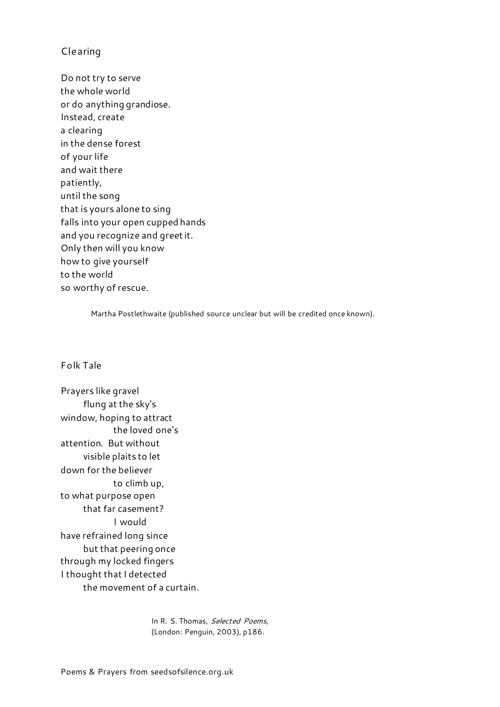# Clearing

Do not try to serve the whole world or do anything grandiose. Instead, create a clearing in the dense forest of your life and wait there patiently, until the song that is yours alone to sing falls into your open cupped hands and you recognize and greet it. Only then will you know how to give yourself to the world so worthy of rescue.

Martha Postlethwaite (published source unclear but will be credited once known).

#### Folk Tale

Prayers like gravel flung at the sky's window, hoping to attract the loved one's attention. But without visible plaits to let down for the believer to climb up, to what purpose open that far casement? I would have refrained long since but that peering once through my locked fingers I thought that I detected the movement of a curtain.

> In R. S. Thomas, Selected Poems, (London: Penguin, 2003), p186.